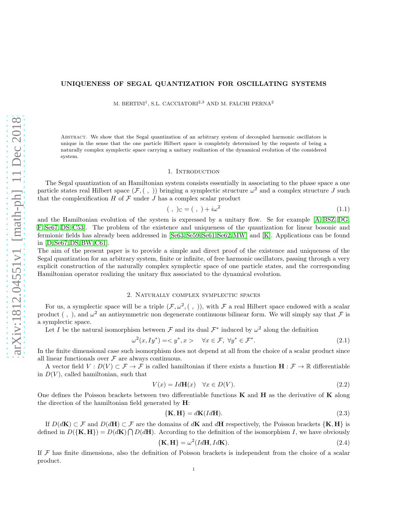# UNIQUENESS OF SEGAL QUANTIZATION FOR OSCILLATING SYSTEMS

M. BERTINI<sup>1</sup>, S.L. CACCIATORI<sup>2,3</sup> AND M. FALCHI PERNA<sup>2</sup>

Abstract. We show that the Segal quantization of an arbitrary system of decoupled harmonic oscillators is unique in the sense that the one particle Hilbert space is completely determined by the requests of being a naturally complex symplectic space carrying a unitary realization of the dynamical evolution of the considered system.

#### 1. INTRODUCTION

The Segal quantization of an Hamiltonian system consists essentially in associating to the phase space a one particle states real Hilbert space  $(F, ( , ))$  bringing a symplectic structure  $\omega^2$  and a complex structure J such that the complexification  $H$  of  $\mathcal F$  under  $J$  has a complex scalar product

$$
(\ ,\ )_{\mathbb{C}} = (\ ,\ ) + i\omega^2 \tag{1.1}
$$

and the Hamiltonian evolution of the system is expressed by a unitary flow. Se for example [\[A,](#page-12-0) [BSZ,](#page-12-1) [DG,](#page-12-2) [F,](#page-12-3) [Se67,](#page-12-4) [DS,](#page-12-5) [C53\]](#page-12-6). The problem of the existence and uniqueness of the quantization for linear bosonic and fermionic fields has already been addressed in [\[Se63,](#page-12-7) [Se59,](#page-12-8) [Se61,](#page-12-9) [Se62,](#page-12-10)[MW\]](#page-12-11) and [\[K\]](#page-12-12). Applications can be found in [\[D,](#page-12-13) [Se67,](#page-12-4) [DS,](#page-12-5) [BW,](#page-12-14) [C61\]](#page-12-15).

The aim of the present paper is to provide a simple and direct proof of the existence and uniqueness of the Segal quantization for an arbitrary system, finite or infinite, of free harmonic oscillators, passing through a very explicit construction of the naturally complex symplectic space of one particle states, and the corresponding Hamiltonian operator realizing the unitary flux associated to the dynamical evolution.

## 2. Naturally complex symplectic spaces

For us, a symplectic space will be a triple  $(\mathcal{F}, \omega^2, (\ , \ ))$ , with  $\mathcal F$  a real Hilbert space endowed with a scalar product (, ), and  $\omega^2$  an antisymmetric non degenerate continuous bilinear form. We will simply say that  $\mathcal F$  is a symplectic space.

Let I be the natural isomorphism between  $\mathcal F$  and its dual  $\mathcal F^*$  induced by  $\omega^2$  along the definition

$$
\omega^2(x, Iy^*) = \langle y^*, x \rangle \quad \forall x \in \mathcal{F}, \ \forall y^* \in \mathcal{F}^*.
$$
\n(2.1)

In the finite dimensional case such isomorphism does not depend at all from the choice of a scalar product since all linear functionals over  $\mathcal F$  are always continuous.

A vector field  $V: D(V) \subset \mathcal{F} \to \mathcal{F}$  is called hamiltonian if there exists a function  $\mathbf{H}: \mathcal{F} \to \mathbb{R}$  differentiable in  $D(V)$ , called hamiltonian, such that

$$
V(x) = Id\mathbf{H}(x) \quad \forall x \in D(V). \tag{2.2}
$$

One defines the Poisson brackets between two differentiable functions  $K$  and  $H$  as the derivative of  $K$  along the direction of the hamiltonian field generated by H:

$$
\{K, H\} = dK(IdH). \tag{2.3}
$$

If  $D(d\mathbf{K}) \subset \mathcal{F}$  and  $D(d\mathbf{H}) \subset \mathcal{F}$  are the domains of dK and dH respectively, the Poisson brackets  $\{K, H\}$  is defined in  $D({\bf K},{\bf H}) = D(d{\bf K}) \bigcap D(d{\bf H})$ . According to the definition of the isomorphism I, we have obviously

$$
\{\mathbf K, \mathbf H\} = \omega^2 (Id\mathbf H, Id\mathbf K). \tag{2.4}
$$

If  $\mathcal F$  has finite dimensions, also the definition of Poisson brackets is independent from the choice of a scalar product.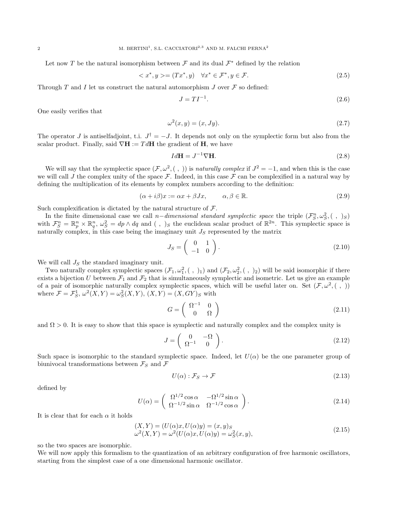Let now T be the natural isomorphism between  $\mathcal F$  and its dual  $\mathcal F^*$  defined by the relation

$$
\langle x^*, y \rangle = (Tx^*, y) \quad \forall x^* \in \mathcal{F}^*, y \in \mathcal{F}.\tag{2.5}
$$

Through T and I let us construct the natural automorphism J over  $\mathcal F$  so defined:

$$
J = TI^{-1}.\tag{2.6}
$$

One easily verifies that

$$
\omega^2(x, y) = (x, Jy). \tag{2.7}
$$

The operator J is antiselfadjoint, t.i.  $J^{\dagger} = -J$ . It depends not only on the symplectic form but also from the scalar product. Finally, said  $\nabla$ **H** := Td**H** the gradient of **H**, we have

$$
Id\mathbf{H} = J^{-1}\nabla\mathbf{H}.
$$
 (2.8)

We will say that the symplectic space  $(\mathcal{F}, \omega^2, (\ ,\ ))$  is *naturally complex* if  $J^2 = -1$ , and when this is the case we will call J the complex unity of the space  $\mathcal F$ . Indeed, in this case  $\mathcal F$  can be complexified in a natural way by defining the multiplication of its elements by complex numbers according to the definition:

$$
(\alpha + i\beta)x := \alpha x + \beta Jx, \qquad \alpha, \beta \in \mathbb{R}.
$$
\n(2.9)

Such complexification is dictated by the natural structure of  $\mathcal{F}$ .

In the finite dimensional case we call n–dimensional standard symplectic space the triple  $(\mathcal{F}_S^n, \omega_S^2, ( , )_S)$ with  $\mathcal{F}_{S}^{n} = \mathbb{R}_{p}^{n} \times \mathbb{R}_{q}^{n}$ ,  $\omega_{S}^{2} = dp \wedge dq$  and (, )s the euclidean scalar product of  $\mathbb{R}^{2n}$ . This symplectic space is naturally complex, in this case being the imaginary unit  $J<sub>S</sub>$  represented by the matrix

$$
J_S = \left(\begin{array}{cc} 0 & 1 \\ -1 & 0 \end{array}\right). \tag{2.10}
$$

We will call  $J<sub>S</sub>$  the standard imaginary unit.

Two naturally complex symplectic spaces  $(\mathcal{F}_1, \omega_1^2, (\ ,\ )_1)$  and  $(\mathcal{F}_2, \omega_2^2, (\ ,\ )_2)$  will be said isomorphic if there exists a bijection U between  $\mathcal{F}_1$  and  $\mathcal{F}_2$  that is simultaneously symplectic and isometric. Let us give an example of a pair of isomorphic naturally complex symplectic spaces, which will be useful later on. Set  $(\mathcal{F}, \omega^2, (\ ,\ )$ where  $\mathcal{F} = \mathcal{F}_S^1$ ,  $\omega^2(X, Y) = \omega_S^2(X, Y)$ ,  $(X, Y) = (X, GY)_S$  with

$$
G = \left(\begin{array}{cc} \Omega^{-1} & 0\\ 0 & \Omega \end{array}\right) \tag{2.11}
$$

and  $\Omega > 0$ . It is easy to show that this space is symplectic and naturally complex and the complex unity is

$$
J = \begin{pmatrix} 0 & -\Omega \\ \Omega^{-1} & 0 \end{pmatrix}.
$$
 (2.12)

Such space is isomorphic to the standard symplectic space. Indeed, let  $U(\alpha)$  be the one parameter group of biunivocal transformations between  $\mathcal{F}_S$  and  $\mathcal F$ 

$$
U(\alpha) : \mathcal{F}_S \to \mathcal{F} \tag{2.13}
$$

defined by

$$
U(\alpha) = \begin{pmatrix} \Omega^{1/2} \cos \alpha & -\Omega^{1/2} \sin \alpha \\ \Omega^{-1/2} \sin \alpha & \Omega^{-1/2} \cos \alpha \end{pmatrix}.
$$
 (2.14)

It is clear that for each  $\alpha$  it holds

$$
(X,Y) = (U(\alpha)x, U(\alpha)y) = (x,y)_S
$$
  
\n
$$
\omega^2(X,Y) = \omega^2(U(\alpha)x, U(\alpha)y) = \omega_S^2(x,y),
$$
\n(2.15)

so the two spaces are isomorphic.

We will now apply this formalism to the quantization of an arbitrary configuration of free harmonic oscillators, starting from the simplest case of a one dimensional harmonic oscillator.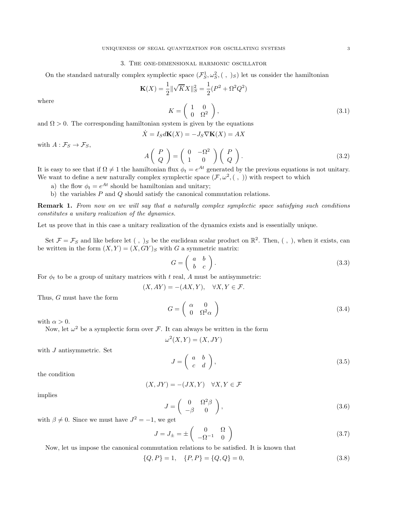# 3. The one-dimensional harmonic oscillator

On the standard naturally complex symplectic space  $(\mathcal{F}_S^1, \omega_S^2, (\ , \ )_S)$  let us consider the hamiltonian

$$
\mathbf{K}(X) = \frac{1}{2} \|\sqrt{K}X\|_{S}^{2} = \frac{1}{2}(P^{2} + \Omega^{2}Q^{2})
$$

where

$$
K = \begin{pmatrix} 1 & 0 \\ 0 & \Omega^2 \end{pmatrix},\tag{3.1}
$$

and  $\Omega > 0$ . The corresponding hamiltonian system is given by the equations

$$
\dot{X} = I_S d\mathbf{K}(X) = -J_S \nabla \mathbf{K}(X) = AX
$$

with  $A: \mathcal{F}_S \to \mathcal{F}_S$ ,

$$
A\left(\begin{array}{c} P \\ Q \end{array}\right) = \left(\begin{array}{cc} 0 & -\Omega^2 \\ 1 & 0 \end{array}\right) \left(\begin{array}{c} P \\ Q \end{array}\right). \tag{3.2}
$$

It is easy to see that if  $\Omega \neq 1$  the hamiltonian flux  $\phi_t = e^{At}$  generated by the previous equations is not unitary. We want to define a new naturally complex symplectic space  $(\mathcal{F}, \omega^2, ( , ))$  with respect to which

- a) the flow  $\phi_t = e^{At}$  should be hamiltonian and unitary;
- b) the variables  $P$  and  $Q$  should satisfy the canonical commutation relations.

<span id="page-2-0"></span>**Remark 1.** From now on we will say that a naturally complex symplectic space satisfying such conditions constitutes a unitary realization of the dynamics.

Let us prove that in this case a unitary realization of the dynamics exists and is essentially unique.

Set  $\mathcal{F} = \mathcal{F}_S$  and like before let  $( , )_S$  be the euclidean scalar product on  $\mathbb{R}^2$ . Then,  $( , )$ , when it exists, can be written in the form  $(X, Y) = (X, GY)_S$  with G a symmetric matrix:

$$
G = \left(\begin{array}{cc} a & b \\ b & c \end{array}\right). \tag{3.3}
$$

For  $\phi_t$  to be a group of unitary matrices with t real, A must be antisymmetric:

 $(X, AY) = -(AX, Y), \quad \forall X, Y \in \mathcal{F}.$ 

Thus, G must have the form

$$
G = \left(\begin{array}{cc} \alpha & 0\\ 0 & \Omega^2 \alpha \end{array}\right) \tag{3.4}
$$

with  $\alpha > 0$ .

Now, let  $\omega^2$  be a symplectic form over  $\mathcal{F}$ . It can always be written in the form

$$
\omega^2(X, Y) = (X, JY)
$$

with J antisymmetric. Set

$$
J = \left(\begin{array}{cc} a & b \\ c & d \end{array}\right),\tag{3.5}
$$

the condition

$$
(X,JY)=-(JX,Y)\quad \forall X,Y\in\mathcal{F}
$$

implies

$$
J = \begin{pmatrix} 0 & \Omega^2 \beta \\ -\beta & 0 \end{pmatrix},\tag{3.6}
$$

with  $\beta \neq 0$ . Since we must have  $J^2 = -1$ , we get

$$
J = J_{\pm} = \pm \begin{pmatrix} 0 & \Omega \\ -\Omega^{-1} & 0 \end{pmatrix}
$$
 (3.7)

Now, let us impose the canonical commutation relations to be satisfied. It is known that

$$
\{Q, P\} = 1, \quad \{P, P\} = \{Q, Q\} = 0,\tag{3.8}
$$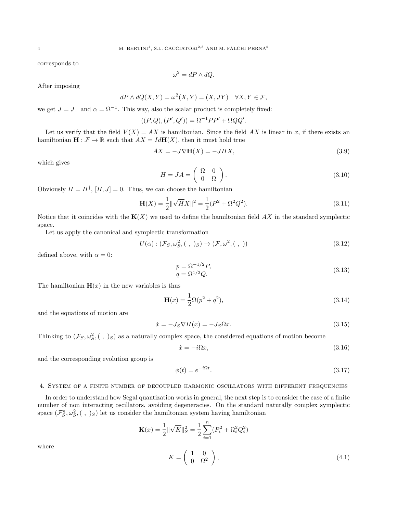corresponds to

$$
\omega^2 = dP \wedge dQ.
$$

After imposing

$$
dP \wedge dQ(X,Y) = \omega^2(X,Y) = (X,JY) \quad \forall X,Y \in \mathcal{F},
$$

we get  $J = J_-$  and  $\alpha = \Omega^{-1}$ . This way, also the scalar product is completely fixed:

$$
((P,Q),(P',Q')) = \Omega^{-1}PP' + \Omega QQ'.
$$

Let us verify that the field  $V(X) = AX$  is hamiltonian. Since the field AX is linear in x, if there exists an hamiltonian  $\mathbf{H}: \mathcal{F} \to \mathbb{R}$  such that  $AX = Id\mathbf{H}(X)$ , then it must hold true

$$
AX = -J\nabla \mathbf{H}(X) = -JHX,\tag{3.9}
$$

which gives

$$
H = JA = \begin{pmatrix} \Omega & 0 \\ 0 & \Omega \end{pmatrix}.
$$
 (3.10)

Obviously  $H = H^{\dagger}$ ,  $[H, J] = 0$ . Thus, we can choose the hamiltonian

$$
\mathbf{H}(X) = \frac{1}{2} \|\sqrt{H}X\|^2 = \frac{1}{2} (P^2 + \Omega^2 Q^2).
$$
 (3.11)

Notice that it coincides with the  $K(X)$  we used to define the hamiltonian field AX in the standard symplectic space.

Let us apply the canonical and symplectic transformation

$$
U(\alpha) : (\mathcal{F}_S, \omega_S^2, ( \ , \ )_S) \to (\mathcal{F}, \omega^2, ( \ , \ ) )
$$
\n
$$
(3.12)
$$

defined above, with  $\alpha = 0$ :

$$
p = \Omega^{-1/2} P,
$$
  
\n
$$
q = \Omega^{1/2} Q.
$$
\n(3.13)

The hamiltonian  $\mathbf{H}(x)$  in the new variables is thus

$$
\mathbf{H}(x) = \frac{1}{2}\Omega(p^2 + q^2),\tag{3.14}
$$

and the equations of motion are

$$
\dot{x} = -J_S \nabla H(x) = -J_S \Omega x. \tag{3.15}
$$

Thinking to  $(\mathcal{F}_S, \omega_S^2, (\ , \ )_S)$  as a naturally complex space, the considered equations of motion become

$$
\dot{x} = -i\Omega x,\tag{3.16}
$$

and the corresponding evolution group is

$$
\phi(t) = e^{-i\Omega t}.\tag{3.17}
$$

### 4. System of a finite number of decoupled harmonic oscillators with different frequencies

In order to understand how Segal quantization works in general, the next step is to consider the case of a finite number of non interacting oscillators, avoiding degeneracies. On the standard naturally complex symplectic space  $(\mathcal{F}_S^n, \omega_S^2, ( , )_S)$  let us consider the hamiltonian system having hamiltonian

$$
\mathbf{K}(x) = \frac{1}{2} \|\sqrt{K}\|_{S}^{2} = \frac{1}{2} \sum_{i=1}^{n} (P_{i}^{2} + \Omega_{i}^{2} Q_{i}^{2})
$$

$$
K = \begin{pmatrix} 1 & 0\\ 0 & \Omega^{2} \end{pmatrix},
$$
(4.1)

where

$$
f_{\rm{max}}
$$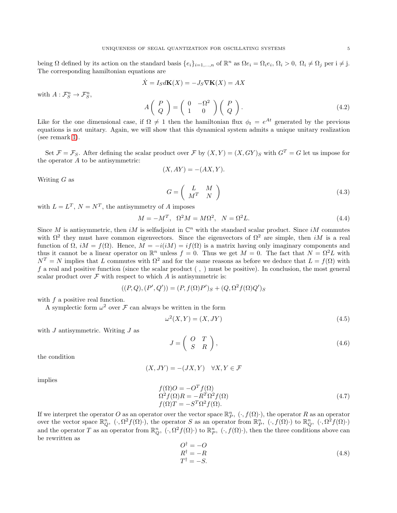being  $\Omega$  defined by its action on the standard basis  $\{e_i\}_{i=1,\dots,n}$  of  $\mathbb{R}^n$  as  $\Omega e_i = \Omega_i e_i$ ,  $\Omega_i > 0$ ,  $\Omega_i \neq \Omega_j$  per  $i \neq j$ . The corresponding hamiltonian equations are

$$
\dot{X} = I_S d\mathbf{K}(X) = -J_S \nabla \mathbf{K}(X) = AX
$$

with  $A: \mathcal{F}_S^n \to \mathcal{F}_S^n$ ,

$$
A\left(\begin{array}{c} P \\ Q \end{array}\right) = \left(\begin{array}{cc} 0 & -\Omega^2 \\ 1 & 0 \end{array}\right) \left(\begin{array}{c} P \\ Q \end{array}\right). \tag{4.2}
$$

Like for the one dimensional case, if  $\Omega \neq 1$  then the hamiltonian flux  $\phi_t = e^{At}$  generated by the previous equations is not unitary. Again, we will show that this dynamical system admits a unique unitary realization (see remark [1\)](#page-2-0).

Set  $\mathcal{F} = \mathcal{F}_S$ . After defining the scalar product over  $\mathcal{F}$  by  $(X, Y) = (X, GY)_S$  with  $G^T = G$  let us impose for the operator A to be antisymmetric:  $(X, AY) = -(AX, Y).$ 

Writing 
$$
G
$$
 as

 $G = \begin{pmatrix} L & M \\ M T & N \end{pmatrix}$  $M^T$  N  $\setminus$ (4.3)

with  $L = L^T$ ,  $N = N^T$ , the antisymmetry of A imposes

 $M = -M^T$ ,  $\Omega^2 M = M\Omega^2$ ,  $N = \Omega^2 L$ . (4.4)

Since M is antisymmetric, then iM is selfadjoint in  $\mathbb{C}^n$  with the standard scalar product. Since iM commutes with  $\Omega^2$  they must have common eigenvectors. Since the eigenvectors of  $\Omega^2$  are simple, then iM is a real function of  $\Omega$ , i $M = f(\Omega)$ . Hence,  $M = -i(iM) = if(\Omega)$  is a matrix having only imaginary components and thus it cannot be a linear operator on  $\mathbb{R}^n$  unless  $f = 0$ . Thus we get  $M = 0$ . The fact that  $N = \Omega^2 L$  with  $N^T = N$  implies that L commutes with  $\Omega^2$  and for the same reasons as before we deduce that  $L = f(\Omega)$  with f a real and positive function (since the scalar product ( , ) must be positive). In conclusion, the most general scalar product over  $\mathcal F$  with respect to which A is antisymmetric is:

$$
((P,Q),(P',Q'))=(P,f(\Omega)P')_S+(Q,\Omega^2f(\Omega)Q')_S
$$

with  $f$  a positive real function.

A symplectic form  $\omega^2$  over  $\mathcal F$  can always be written in the form

$$
\omega^2(X, Y) = (X, JY) \tag{4.5}
$$

with  $J$  antisymmetric. Writing  $J$  as

$$
J = \left(\begin{array}{cc} O & T \\ S & R \end{array}\right),\tag{4.6}
$$

the condition

$$
(X,JY)=-(JX,Y)\quad \forall X,Y\in\mathcal{F}
$$

implies

$$
f(\Omega)O = -O^T f(\Omega)
$$
  
\n
$$
\Omega^2 f(\Omega)R = -R^T \Omega^2 f(\Omega)
$$
  
\n
$$
f(\Omega)T = -S^T \Omega^2 f(\Omega).
$$
\n(4.7)

If we interpret the operator O as an operator over the vector space  $\mathbb{R}_P^n$ ,  $(\cdot, f(\Omega) \cdot)$ , the operator R as an operator over the vector space  $\mathbb{R}_{Q}^{n}$ ,  $(\cdot, \Omega^{2} f(\Omega))$ , the operator S as an operator from  $\mathbb{R}_{P}^{n}$ ,  $(\cdot, f(\Omega) \cdot)$  to  $\mathbb{R}_{Q}^{n}$ ,  $(\cdot, \Omega^{2} f(\Omega) \cdot)$ and the operator T as an operator from  $\mathbb{R}_Q^n$ ,  $(\cdot, \Omega^2 f(\Omega) \cdot)$  to  $\mathbb{R}_P^n$ ,  $(\cdot, f(\Omega) \cdot)$ , then the three conditions above can be rewritten as

$$
O^{\dagger} = -O
$$
  
\n
$$
R^{\dagger} = -R
$$
  
\n
$$
T^{\dagger} = -S.
$$
\n(4.8)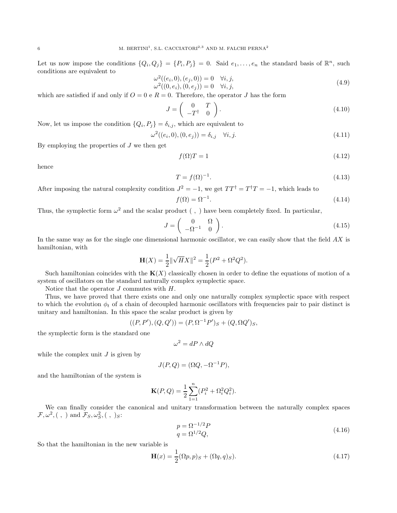Let us now impose the conditions  $\{Q_i, Q_j\} = \{P_i, P_j\} = 0$ . Said  $e_1, \ldots, e_n$  the standard basis of  $\mathbb{R}^n$ , such conditions are equivalent to

$$
\begin{aligned}\n\omega^2((e_i, 0), (e_j, 0)) &= 0 \quad \forall i, j, \\
\omega^2((0, e_i), (0, e_j)) &= 0 \quad \forall i, j,\n\end{aligned}
$$
\n(4.9)

which are satisfied if and only if  $O = 0$  e  $R = 0$ . Therefore, the operator J has the form

$$
J = \left(\begin{array}{cc} 0 & T \\ -T^{\dagger} & 0 \end{array}\right). \tag{4.10}
$$

Now, let us impose the condition  $\{Q_i, P_j\} = \delta_{i,j}$ , which are equivalent to

$$
\omega^{2}((e_{i},0),(0,e_{j})) = \delta_{i,j} \quad \forall i,j.
$$
\n(4.11)

By employing the properties of  $J$  we then get

$$
f(\Omega)T = 1\tag{4.12}
$$

hence

$$
T = f(\Omega)^{-1}.\tag{4.13}
$$

After imposing the natural complexity condition  $J^2 = -1$ , we get  $TT^{\dagger} = T^{\dagger}T = -1$ , which leads to

$$
f(\Omega) = \Omega^{-1}.\tag{4.14}
$$

Thus, the symplectic form  $\omega^2$  and the scalar product (, ) have been completely fixed. In particular,

$$
J = \begin{pmatrix} 0 & \Omega \\ -\Omega^{-1} & 0 \end{pmatrix}.
$$
 (4.15)

In the same way as for the single one dimensional harmonic oscillator, we can easily show that the field AX is hamiltonian, with

$$
\mathbf{H}(X) = \frac{1}{2} \|\sqrt{H}X\|^2 = \frac{1}{2} (P^2 + \Omega^2 Q^2).
$$

Such hamiltonian coincides with the  $K(X)$  classically chosen in order to define the equations of motion of a system of oscillators on the standard naturally complex symplectic space.

Notice that the operator  $J$  commutes with  $H$ .

Thus, we have proved that there exists one and only one naturally complex symplectic space with respect to which the evolution  $\phi_t$  of a chain of decoupled harmonic oscillators with frequencies pair to pair distinct is unitary and hamiltonian. In this space the scalar product is given by

$$
((P, P'), (Q, Q')) = (P, \Omega^{-1}P')_S + (Q, \Omega Q')_S,
$$

the symplectic form is the standard one

$$
\omega^2 = dP \wedge dQ
$$

while the complex unit  $J$  is given by

$$
J(P,Q) = (\Omega Q, -\Omega^{-1} P),
$$

and the hamiltonian of the system is

$$
\mathbf{K}(P,Q) = \frac{1}{2} \sum_{1=1}^{n} (P_i^2 + \Omega_i^2 Q_i^2).
$$

We can finally consider the canonical and unitary transformation between the naturally complex spaces  $\mathcal{F}, \omega^2$ , (, ) and  $\mathcal{F}_S, \omega_S^2$ , (, )s:

$$
p = \Omega^{-1/2} P
$$
  
 
$$
q = \Omega^{1/2} Q,
$$
 (4.16)

So that the hamiltonian in the new variable is

$$
\mathbf{H}(x) = \frac{1}{2}(\Omega p, p)_S + (\Omega q, q)_S). \tag{4.17}
$$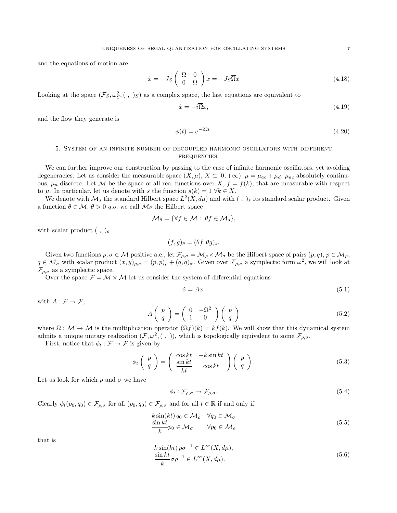and the equations of motion are

$$
\dot{x} = -J_S \begin{pmatrix} \Omega & 0\\ 0 & \Omega \end{pmatrix} x = -J_S \overline{\Omega} x \tag{4.18}
$$

Looking at the space  $(\mathcal{F}_S, \omega_S^2, ( , )_S)$  as a complex space, the last equations are equivalent to

$$
\dot{x} = -i\overline{\Omega}x,\tag{4.19}
$$

and the flow they generate is

$$
\phi(t) = e^{-i\overline{\Omega}t}.\tag{4.20}
$$

# 5. System of an infinite number of decoupled harmonic oscillators with different **FREQUENCIES**

We can further improve our construction by passing to the case of infinite harmonic oscillators, yet avoiding degeneracies. Let us consider the measurable space  $(X, \mu), X \subset [0, +\infty), \mu = \mu_{ac} + \mu_d, \mu_{ac}$  absolutely continuous,  $\mu_d$  discrete. Let M be the space of all real functions over X,  $f = f(k)$ , that are measurable with respect to  $\mu$ . In particular, let us denote with s the function  $s(k) = 1 \ \forall k \in X$ .

We denote with  $\mathcal{M}_s$  the standard Hilbert space  $L^2(X, d\mu)$  and with  $($ ,  $)_s$  its standard scalar product. Given a function  $\theta \in \mathcal{M}, \theta > 0$  q.o. we call  $\mathcal{M}_{\theta}$  the Hilbert space

$$
\mathcal{M}_{\theta} = \{ \forall f \in \mathcal{M} : \ \theta f \in \mathcal{M}_s \},
$$

with scalar product  $( , )_{\theta}$ 

$$
(f,g)_{\theta}=(\theta f,\theta g)_{s}.
$$

Given two functions  $\rho, \sigma \in \mathcal{M}$  positive a.e., let  $\mathcal{F}_{\rho,\sigma} = \mathcal{M}_{\rho} \times \mathcal{M}_{\sigma}$  be the Hilbert space of pairs  $(p, q), p \in \mathcal{M}_{\rho}$ ,  $q \in \mathcal{M}_{\sigma}$  with scalar product  $(x, y)_{\rho, \sigma} = (p, p)_{\rho} + (q, q)_{\sigma}$ . Given over  $\mathcal{F}_{\rho, \sigma}$  a symplectic form  $\omega^2$ , we will look at  $\mathcal{F}_{\rho,\sigma}$  as a symplectic space.

Over the space  $\mathcal{F} = \mathcal{M} \times \mathcal{M}$  let us consider the system of differential equations

$$
\dot{x} = Ax,\tag{5.1}
$$

with  $A: \mathcal{F} \to \mathcal{F}$ ,

$$
A\left(\begin{array}{c}p\\q\end{array}\right) = \left(\begin{array}{cc}0 & -\Omega^2\\1 & 0\end{array}\right)\left(\begin{array}{c}p\\q\end{array}\right) \tag{5.2}
$$

where  $\Omega : \mathcal{M} \to \mathcal{M}$  is the multiplication operator  $(\Omega f)(k) = kf(k)$ . We will show that this dynamical system admits a unique unitary realization  $(\mathcal{F}, \omega^2, (\ , \ ) )$ , which is topologically equivalent to some  $\mathcal{F}_{\rho,\sigma}$ .

First, notice that  $\phi_t : \mathcal{F} \to \mathcal{F}$  is given by

$$
\phi_t\left(\begin{array}{c}p\\q\end{array}\right)=\left(\begin{array}{cc}\cos kt & -k\sin kt\\ \frac{\sin kt}{kt} & \cos kt\end{array}\right)\left(\begin{array}{c}p\\q\end{array}\right).
$$
\n(5.3)

Let us look for which  $\rho$  and  $\sigma$  we have

$$
\phi_t: \mathcal{F}_{\rho,\sigma} \to \mathcal{F}_{\rho,\sigma}.\tag{5.4}
$$

Clearly  $\phi_t(p_0, q_0) \in \mathcal{F}_{\rho,\sigma}$  for all  $(p_0, q_0) \in \mathcal{F}_{\rho,\sigma}$  and for all  $t \in \mathbb{R}$  if and only if

$$
k \sin(kt) q_0 \in \mathcal{M}_{\rho} \quad \forall q_0 \in \mathcal{M}_{\sigma}
$$
  
\n
$$
\frac{\sin kt}{k} p_0 \in \mathcal{M}_{\sigma} \qquad \forall p_0 \in \mathcal{M}_{\rho}
$$
\n(5.5)

that is

<span id="page-6-0"></span>
$$
k \sin(kt) \rho \sigma^{-1} \in L^{\infty}(X, d\mu),
$$
  
\n
$$
\frac{\sin kt}{k} \sigma \rho^{-1} \in L^{\infty}(X, d\mu).
$$
\n(5.6)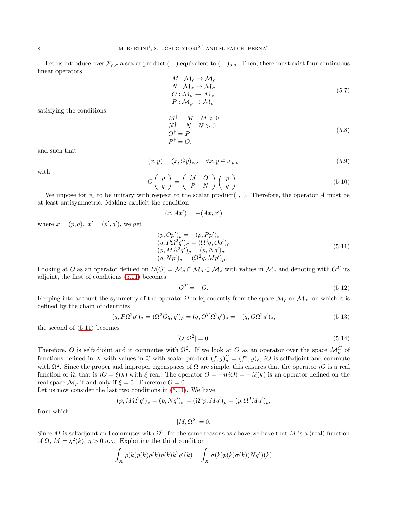Let us introduce over  $\mathcal{F}_{\rho,\sigma}$  a scalar product (, ) equivalent to (, )<sub> $\rho,\sigma$ </sub>. Then, there must exist four continuous linear operators

$$
M: M_{\rho} \to M_{\rho}
$$
  
\n
$$
N: M_{\sigma} \to M_{\sigma}
$$
  
\n
$$
O: M_{\sigma} \to M_{\rho}
$$
  
\n
$$
P: M_{\rho} \to M_{\sigma}
$$
  
\n(5.7)

satisfying the conditions

$$
M^{\dagger} = M \t M > 0N^{\dagger} = N \t N > 0O^{\dagger} = PP^{\dagger} = O,
$$
 (5.8)

and such that

$$
(x, y) = (x, Gy)_{\rho, \sigma} \quad \forall x, y \in \mathcal{F}_{\rho, \sigma}
$$
\n
$$
(5.9)
$$

with

$$
G\left(\begin{array}{c}p\\q\end{array}\right)=\left(\begin{array}{cc}M&O\\P&N\end{array}\right)\left(\begin{array}{c}p\\q\end{array}\right).
$$
\n(5.10)

We impose for  $\phi_t$  to be unitary with respect to the scalar product(, ). Therefore, the operator A must be at least antisymmetric. Making explicit the condition

$$
(x, Ax') = -(Ax, x')
$$

where  $x = (p, q), x' = (p', q'),$  we get

<span id="page-7-0"></span>
$$
(p, Op')_{\rho} = -(p, Pp')_{\sigma} (q, P\Omega^{2}q')_{\sigma} = (\Omega^{2}q, Oq')_{\rho} (p, M\Omega^{2}q')_{\rho} = (p, Nq')_{\sigma} (q, Np')_{\sigma} = (\Omega^{2}q, Mp')_{\rho}.
$$
\n(5.11)

Looking at O as an operator defined on  $D(O) = \mathcal{M}_{\sigma} \cap \mathcal{M}_{\rho} \subset \mathcal{M}_{\rho}$  with values in  $\mathcal{M}_{\rho}$  and denoting with  $O<sup>T</sup>$  its adjoint, the first of conditions [\(5.11\)](#page-7-0) becomes

$$
O^T = -O.\tag{5.12}
$$

Keeping into account the symmetry of the operator  $\Omega$  independently from the space  $\mathcal{M}_{\rho}$  or  $\mathcal{M}_{\sigma}$ , on which it is defined by the chain of identities

$$
(q, P\Omega^2 q')_{\sigma} = (\Omega^2 Oq, q')_{\rho} = (q, O^T \Omega^2 q')_{\rho} = -(q, O\Omega^2 q')_{\rho},
$$
\n(5.13)

the second of [\(5.11\)](#page-7-0) becomes

$$
[O, \Omega^2] = 0.
$$
\n(5.14)

Therefore, O is selfadjoint and it commutes with  $\Omega^2$ . If we look at O as an operator over the space  $\mathcal{M}_{\rho}^C$  of functions defined in X with values in  $\mathbb C$  with scalar product  $(f, g)_{\rho}^C = (f^*, g)_{\rho}$ , iO is selfadjoint and commute with  $\Omega^2$ . Since the proper and improper eigenspaces of  $\Omega$  are simple, this ensures that the operator iO is a real function of  $\Omega$ , that is  $iO = \xi(k)$  with  $\xi$  real. The operator  $O = -i(iO) = -i\xi(k)$  is an operator defined on the real space  $\mathcal{M}_o$  if and only if  $\xi = 0$ . Therefore  $O = 0$ .

Let us now consider the last two conditions in [\(5.11\)](#page-7-0). We have

$$
(p, M\Omega^2 q')_{\rho} = (p, Nq')_{\sigma} = (\Omega^2 p, Mq')_{\rho} = (p, \Omega^2 Mq')_{\rho},
$$

from which

$$
[M,\Omega^2]=0.
$$

Since M is selfadjoint and commutes with  $\Omega^2$ , for the same reasons as above we have that M is a (real) function of  $\Omega$ ,  $M = \eta^2(k)$ ,  $\eta > 0$  *q.o.*. Exploiting the third condition

$$
\int_X \rho(k)p(k)\rho(k)\eta(k)k^2q'(k) = \int_X \sigma(k)p(k)\sigma(k)(Nq')(k)
$$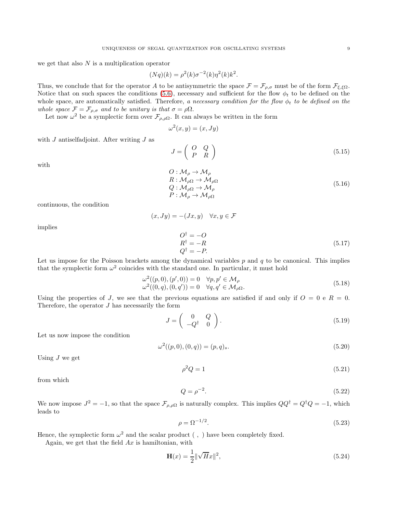we get that also  $N$  is a multiplication operator

$$
(Nq)(k) = \rho^2(k)\sigma^{-2}(k)\eta^2(k)k^2.
$$

Thus, we conclude that for the operator A to be antisymmetric the space  $\mathcal{F} = \mathcal{F}_{\rho,\sigma}$  must be of the form  $\mathcal{F}_{\xi,\xi\Omega}$ . Notice that on such spaces the conditions [\(5.6\)](#page-6-0), necessary and sufficient for the flow  $\phi_t$  to be defined on the whole space, are automatically satisfied. Therefore, a necessary condition for the flow  $\phi_t$  to be defined on the whole space  $\mathcal{F} = \mathcal{F}_{\rho,\sigma}$  and to be unitary is that  $\sigma = \rho\Omega$ .

Let now  $\omega^2$  be a symplectic form over  $\mathcal{F}_{\rho,\rho\Omega}$ . It can always be written in the form

$$
\omega^2(x, y) = (x, Jy)
$$

with J antiselfadjoint. After writing J as

$$
J = \left(\begin{array}{cc} O & Q \\ P & R \end{array}\right) \tag{5.15}
$$

with

implies

$$
O: \mathcal{M}_{\rho} \to \mathcal{M}_{\rho} R: \mathcal{M}_{\rho\Omega} \to \mathcal{M}_{\rho\Omega} Q: \mathcal{M}_{\rho\Omega} \to \mathcal{M}_{\rho} P: \mathcal{M}_{\rho} \to \mathcal{M}_{\rho\Omega}
$$
 (5.16)

continuous, the condition

$$
O^{\dagger} = -O
$$
  
\n
$$
R^{\dagger} = -R
$$
\n(5.17)

 $Q^{\dagger} = -P.$ Let us impose for the Poisson brackets among the dynamical variables  $p$  and  $q$  to be canonical. This implies that the symplectic form  $\omega^2$  coincides with the standard one. In particular, it must hold

$$
\begin{aligned}\n\omega^2((p,0),(p',0)) &= 0 & \forall p, p' \in \mathcal{M}_\rho \\
\omega^2((0,q),(0,q')) &= 0 & \forall q, q' \in \mathcal{M}_{\rho\Omega}.\n\end{aligned} \tag{5.18}
$$

Using the properties of J, we see that the previous equations are satisfied if and only if  $O = 0$  e  $R = 0$ . Therefore, the operator  $J$  has necessarily the form

 $(x, Jy) = -(Jx, y) \quad \forall x, y \in \mathcal{F}$ 

$$
J = \begin{pmatrix} 0 & Q \\ -Q^{\dagger} & 0 \end{pmatrix}.
$$
 (5.19)

Let us now impose the condition

$$
\omega^2((p,0),(0,q)) = (p,q)_s. \tag{5.20}
$$

Using  $J$  we get

$$
\rho^2 Q = 1\tag{5.21}
$$

from which

$$
Q = \rho^{-2}.\tag{5.22}
$$

We now impose  $J^2 = -1$ , so that the space  $\mathcal{F}_{\rho,\rho\Omega}$  is naturally complex. This implies  $QQ^{\dagger} = Q^{\dagger}Q = -1$ , which leads to

$$
\rho = \Omega^{-1/2}.\tag{5.23}
$$

Hence, the symplectic form  $\omega^2$  and the scalar product (, ) have been completely fixed.

Again, we get that the field  $Ax$  is hamiltonian, with

$$
\mathbf{H}(x) = \frac{1}{2} \|\sqrt{H}x\|^2, \tag{5.24}
$$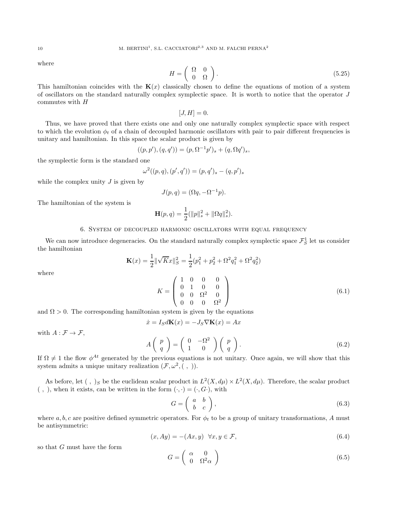where

$$
H = \left(\begin{array}{cc} \Omega & 0\\ 0 & \Omega \end{array}\right). \tag{5.25}
$$

This hamiltonian coincides with the  $K(x)$  classically chosen to define the equations of motion of a system of oscillators on the standard naturally complex symplectic space. It is worth to notice that the operator J commutes with H

 $[J, H] = 0.$ 

Thus, we have proved that there exists one and only one naturally complex symplectic space with respect to which the evolution  $\phi_t$  of a chain of decoupled harmonic oscillators with pair to pair different frequencies is unitary and hamiltonian. In this space the scalar product is given by

$$
((p, p'), (q, q')) = (p, \Omega^{-1}p')_s + (q, \Omega q')_s,
$$

the symplectic form is the standard one

$$
\omega^{2}((p,q),(p',q')) = (p,q')_{s} - (q,p')_{s}
$$

while the complex unity  $J$  is given by

$$
J(p,q) = (\Omega q, -\Omega^{-1} p).
$$

The hamiltonian of the system is

$$
\mathbf{H}(p,q) = \frac{1}{2} (||p||_s^2 + ||\Omega q||_s^2).
$$

### 6. System of decoupled harmonic oscillators with equal frequency

We can now introduce degeneracies. On the standard naturally complex symplectic space  $\mathcal{F}_S^1$  let us consider the hamiltonian

$$
\mathbf{K}(x) = \frac{1}{2} \|\sqrt{Kx}\|_{S}^{2} = \frac{1}{2}(p_{1}^{2} + p_{2}^{2} + \Omega^{2}q_{1}^{2} + \Omega^{2}q_{2}^{2})
$$

where

$$
K = \begin{pmatrix} 1 & 0 & 0 & 0 \\ 0 & 1 & 0 & 0 \\ 0 & 0 & \Omega^2 & 0 \\ 0 & 0 & 0 & \Omega^2 \end{pmatrix}
$$
 (6.1)

and  $\Omega > 0$ . The corresponding hamiltonian system is given by the equations

$$
\dot{x} = I_S d\mathbf{K}(x) = -J_S \nabla \mathbf{K}(x) = Ax
$$

with  $A: \mathcal{F} \to \mathcal{F}$ ,

$$
A\left(\begin{array}{c}p\\q\end{array}\right) = \left(\begin{array}{cc}0 & -\Omega^2\\1 & 0\end{array}\right)\left(\begin{array}{c}p\\q\end{array}\right).
$$
\n(6.2)

If  $\Omega \neq 1$  the flow  $\phi^{At}$  generated by the previous equations is not unitary. Once again, we will show that this system admits a unique unitary realization  $(\mathcal{F}, \omega^2, (\ , \ )).$ 

As before, let  $( , )_S$  be the euclidean scalar product in  $L^2(X, d\mu) \times L^2(X, d\mu)$ . Therefore, the scalar product  $( , )$ , when it exists, can be written in the form  $( \cdot, \cdot) = ( \cdot, G \cdot)$ , with

$$
G = \left(\begin{array}{cc} a & b \\ b & c \end{array}\right),\tag{6.3}
$$

where  $a, b, c$  are positive defined symmetric operators. For  $\phi_t$  to be a group of unitary transformations, A must be antisymmetric:

$$
(x, Ay) = -(Ax, y) \quad \forall x, y \in \mathcal{F},\tag{6.4}
$$

so that G must have the form

$$
G = \left(\begin{array}{cc} \alpha & 0\\ 0 & \Omega^2 \alpha \end{array}\right) \tag{6.5}
$$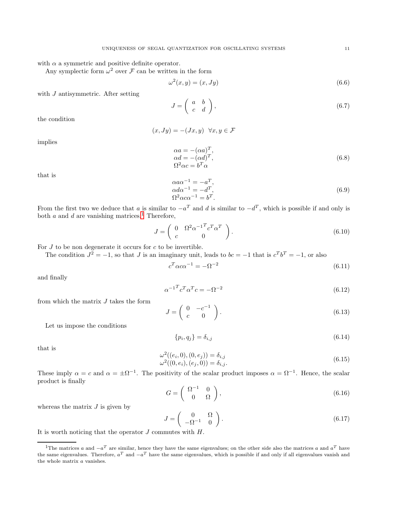with  $\alpha$  a symmetric and positive definite operator.

Any symplectic form  $\omega^2$  over  $\mathcal F$  can be written in the form

$$
\omega^2(x, y) = (x, Jy) \tag{6.6}
$$

with *J* antisymmetric. After setting

$$
J = \left(\begin{array}{cc} a & b \\ c & d \end{array}\right),\tag{6.7}
$$

the condition

$$
(x, Jy) = -(Jx, y) \quad \forall x, y \in \mathcal{F}
$$

implies

$$
\alpha a = -(\alpha a)^T,\n\alpha d = -(\alpha d)^T,\n\Omega^2 \alpha c = b^T \alpha
$$
\n(6.8)

that is

$$
\alpha a \alpha^{-1} = -a^T,
$$
  
\n
$$
\alpha d\alpha^{-1} = -d^T,
$$
  
\n
$$
\Omega^2 \alpha c \alpha^{-1} = b^T.
$$
\n(6.9)

From the first two we deduce that a is similar to  $-a^T$  and d is similar to  $-d^T$ , which is possible if and only is both  $a$  and  $d$  are vanishing matrices.<sup>[1](#page-10-0)</sup> Therefore,

$$
J = \left(\begin{array}{cc} 0 & \Omega^2 \alpha^{-1}^T c^T \alpha^T \\ c & 0 \end{array}\right). \tag{6.10}
$$

For  $J$  to be non degenerate it occurs for  $c$  to be invertible.

The condition  $J^2 = -1$ , so that J is an imaginary unit, leads to  $bc = -1$  that is  $c^T b^T = -1$ , or also

$$
c^T \alpha c \alpha^{-1} = -\Omega^{-2} \tag{6.11}
$$

and finally

$$
\alpha^{-1}^T c^T \alpha^T c = -\Omega^{-2} \tag{6.12}
$$

from which the matrix  $J$  takes the form

$$
J = \left(\begin{array}{cc} 0 & -c^{-1} \\ c & 0 \end{array}\right). \tag{6.13}
$$

Let us impose the conditions

$$
\{p_i, q_j\} = \delta_{i,j} \tag{6.14}
$$

that is

$$
\begin{aligned} \omega^2((e_i, 0), (0, e_j)) &= \delta_{i,j} \\ \omega^2((0, e_i), (e_j, 0)) &= \delta_{i,j}. \end{aligned} \tag{6.15}
$$

These imply  $\alpha = c$  and  $\alpha = \pm \Omega^{-1}$ . The positivity of the scalar product imposes  $\alpha = \Omega^{-1}$ . Hence, the scalar product is finally

$$
G = \left(\begin{array}{cc} \Omega^{-1} & 0\\ 0 & \Omega \end{array}\right),\tag{6.16}
$$

whereas the matrix  $J$  is given by

$$
J = \begin{pmatrix} 0 & \Omega \\ -\Omega^{-1} & 0 \end{pmatrix}.
$$
 (6.17)

It is worth noticing that the operator J commutes with H.

<span id="page-10-0"></span><sup>&</sup>lt;sup>1</sup>The matrices a and  $-a^T$  are similar, hence they have the same eigenvalues; on the other side also the matrices a and  $a^T$  have the same eigenvalues. Therefore,  $a^T$  and  $-a^T$  have the same eigenvalues, which is possible if and only if all eigenvalues vanish and the whole matrix a vanishes.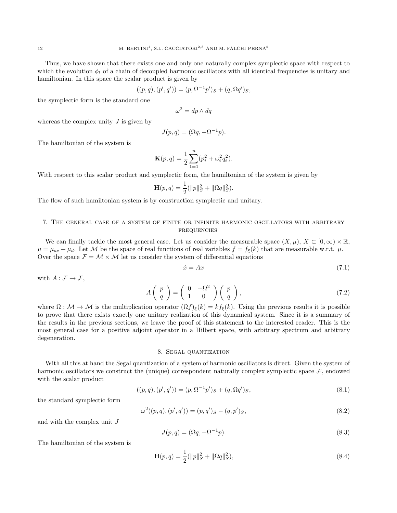Thus, we have shown that there exists one and only one naturally complex symplectic space with respect to which the evolution  $\phi_t$  of a chain of decoupled harmonic oscillators with all identical frequencies is unitary and hamiltonian. In this space the scalar product is given by

$$
((p,q),(p',q')) = (p,\Omega^{-1}p')_S + (q,\Omega q')_S,
$$

the symplectic form is the standard one

$$
\omega^2 = dp \wedge dq
$$

whereas the complex unity  $J$  is given by

$$
J(p,q) = (\Omega q, -\Omega^{-1} p).
$$

The hamiltonian of the system is

$$
\mathbf{K}(p,q) = \frac{1}{2} \sum_{1=1}^{n} (p_i^2 + \omega_i^2 q_i^2).
$$

With respect to this scalar product and symplectic form, the hamiltonian of the system is given by

$$
\mathbf{H}(p,q) = \frac{1}{2}(\|p\|_S^2 + \|\Omega q\|_S^2).
$$

The flow of such hamiltonian system is by construction symplectic and unitary.

## 7. The general case of a system of finite or infinite harmonic oscillators with arbitrary **FREQUENCIES**

We can finally tackle the most general case. Let us consider the measurable space  $(X, \mu)$ ,  $X \subset [0, \infty) \times \mathbb{R}$ ,  $\mu = \mu_{ac} + \mu_d$ . Let M be the space of real functions of real variables  $f = f_{\xi}(k)$  that are measurable w.r.t.  $\mu$ . Over the space  $\mathcal{F} = \mathcal{M} \times \mathcal{M}$  let us consider the system of differential equations

$$
\dot{x} = Ax \tag{7.1}
$$

with  $A: \mathcal{F} \to \mathcal{F}$ ,

$$
A\left(\begin{array}{c}p\\q\end{array}\right) = \left(\begin{array}{cc}0 & -\Omega^2\\1 & 0\end{array}\right) \left(\begin{array}{c}p\\q\end{array}\right),\tag{7.2}
$$

where  $\Omega : \mathcal{M} \to \mathcal{M}$  is the multiplication operator  $(\Omega f)_{\epsilon}(k) = kf_{\epsilon}(k)$ . Using the previous results it is possible to prove that there exists exactly one unitary realization of this dynamical system. Since it is a summary of the results in the previous sections, we leave the proof of this statement to the interested reader. This is the most general case for a positive adjoint operator in a Hilbert space, with arbitrary spectrum and arbitrary degeneration.

### 8. Segal quantization

With all this at hand the Segal quantization of a system of harmonic oscillators is direct. Given the system of harmonic oscillators we construct the (unique) correspondent naturally complex symplectic space  $\mathcal{F}$ , endowed with the scalar product

$$
((p,q),(p',q')) = (p,\Omega^{-1}p')_S + (q,\Omega q')_S, \tag{8.1}
$$

the standard symplectic form

$$
\omega^{2}((p,q),(p',q')) = (p,q')_{S} - (q,p')_{S},\tag{8.2}
$$

and with the complex unit J

$$
J(p,q) = (\Omega q, -\Omega^{-1} p). \tag{8.3}
$$

The hamiltonian of the system is

$$
\mathbf{H}(p,q) = \frac{1}{2}(\|p\|_{S}^{2} + \|\Omega q\|_{S}^{2}),\tag{8.4}
$$